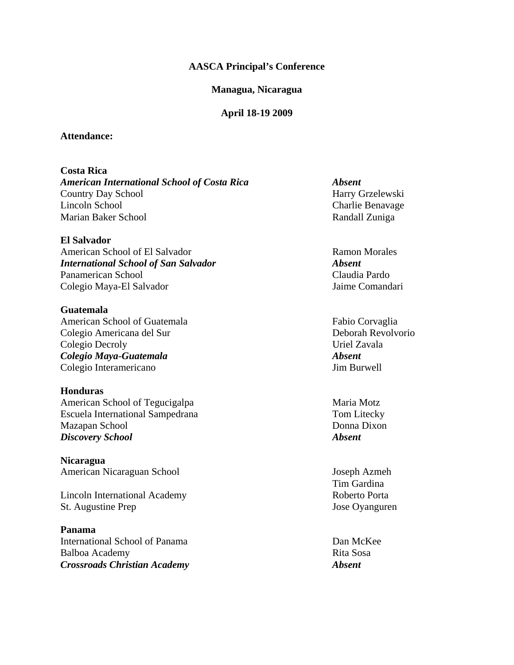### **AASCA Principal's Conference**

#### **Managua, Nicaragua**

#### **April 18-19 2009**

### **Attendance:**

**Costa Rica**  *American International School of Costa Rica Absent*  Country Day School Harry Grzelewski Lincoln School Charlie Benavage Marian Baker School **Randall Zuniga** 

**El Salvador**  American School of El Salvador **Ramon Morales** Ramon Morales *International School of San Salvador Absent*  Panamerican School Claudia Pardo Colegio Maya-El Salvador Jaime Comandari

**Guatemala**  American School of Guatemala Fabio Corvaglia Colegio Americana del Sur Deborah Revolvorio Colegio Decroly Uriel Zavala *Colegio Maya-Guatemala Absent*  Colegio Interamericano **Jim Burwell** 

**Honduras**  American School of Tegucigalpa Maria Motz Escuela International Sampedrana Tom Litecky Mazapan School Donna Dixon *Discovery School Absent* 

**Nicaragua**  American Nicaraguan School Joseph Azmeh

Lincoln International AcademyRoberto Porta St. Augustine Prep Jose Oyanguren

**Panama**  International School of Panama Dan McKee Balboa Academy Rita Sosa *Crossroads Christian Academy Absent* 

Tim Gardina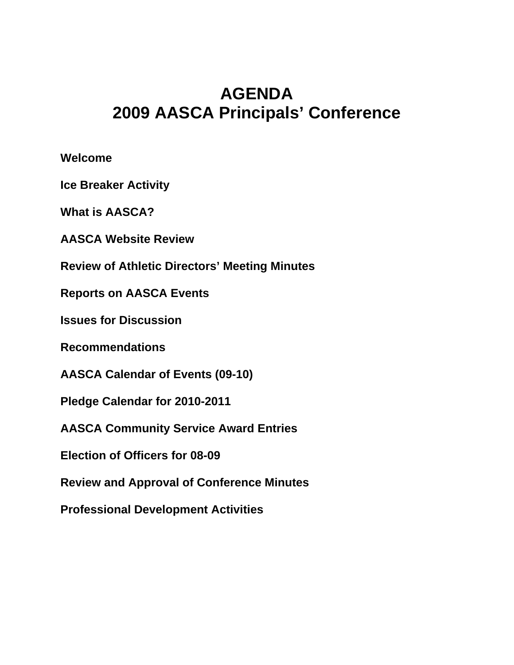# **AGENDA 2009 AASCA Principals' Conference**

**Welcome** 

**Ice Breaker Activity** 

**What is AASCA?** 

**AASCA Website Review** 

**Review of Athletic Directors' Meeting Minutes** 

**Reports on AASCA Events** 

**Issues for Discussion** 

**Recommendations** 

**AASCA Calendar of Events (09-10)** 

**Pledge Calendar for 2010-2011** 

**AASCA Community Service Award Entries** 

**Election of Officers for 08-09** 

**Review and Approval of Conference Minutes** 

**Professional Development Activities**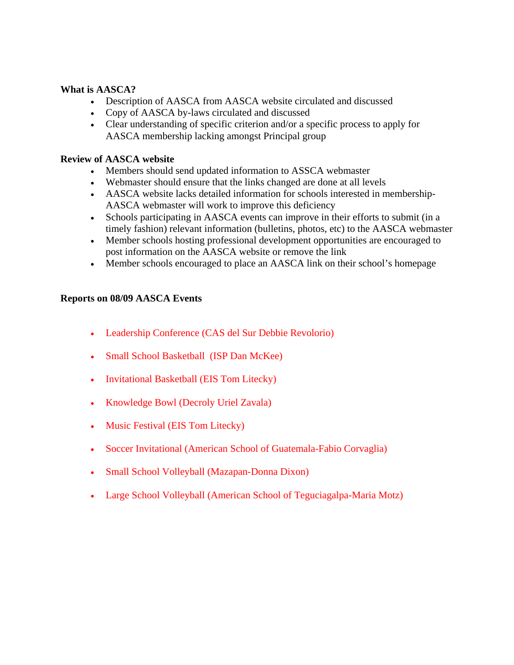# **What is AASCA?**

- Description of AASCA from AASCA website circulated and discussed
- Copy of AASCA by-laws circulated and discussed
- Clear understanding of specific criterion and/or a specific process to apply for AASCA membership lacking amongst Principal group

## **Review of AASCA website**

- Members should send updated information to ASSCA webmaster
- Webmaster should ensure that the links changed are done at all levels
- AASCA website lacks detailed information for schools interested in membership-AASCA webmaster will work to improve this deficiency
- Schools participating in AASCA events can improve in their efforts to submit (in a timely fashion) relevant information (bulletins, photos, etc) to the AASCA webmaster
- Member schools hosting professional development opportunities are encouraged to post information on the AASCA website or remove the link
- Member schools encouraged to place an AASCA link on their school's homepage

## **Reports on 08/09 AASCA Events**

- Leadership Conference (CAS del Sur Debbie Revolorio)
- Small School Basketball (ISP Dan McKee)
- Invitational Basketball (EIS Tom Litecky)
- Knowledge Bowl (Decroly Uriel Zavala)
- Music Festival (EIS Tom Litecky)
- Soccer Invitational (American School of Guatemala-Fabio Corvaglia)
- Small School Volleyball (Mazapan-Donna Dixon)
- Large School Volleyball (American School of Teguciagalpa-Maria Motz)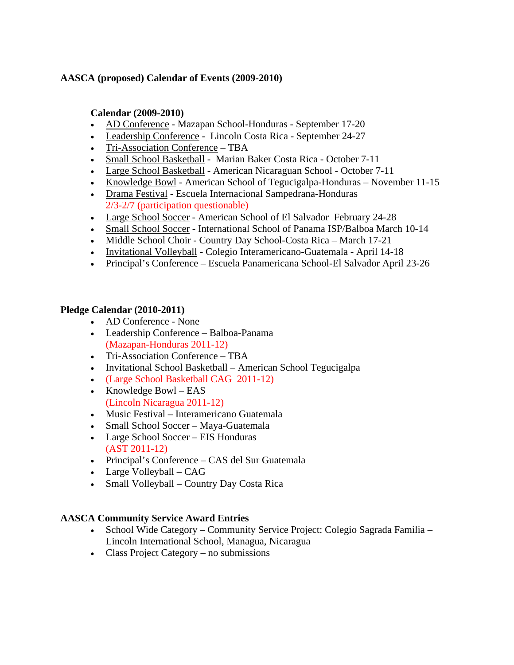# **AASCA (proposed) Calendar of Events (2009-2010)**

# **Calendar (2009-2010)**

- AD Conference Mazapan School-Honduras September 17-20
- Leadership Conference Lincoln Costa Rica September 24-27
- Tri-Association Conference TBA
- Small School Basketball Marian Baker Costa Rica October 7-11
- Large School Basketball American Nicaraguan School October 7-11
- Knowledge Bowl American School of Tegucigalpa-Honduras November 11-15
- Drama Festival Escuela Internacional Sampedrana-Honduras 2/3-2/7 (participation questionable)
- Large School Soccer American School of El Salvador February 24-28
- Small School Soccer International School of Panama ISP/Balboa March 10-14
- Middle School Choir Country Day School-Costa Rica March 17-21
- Invitational Volleyball Colegio Interamericano-Guatemala April 14-18
- Principal's Conference Escuela Panamericana School-El Salvador April 23-26

# **Pledge Calendar (2010-2011)**

- AD Conference None
- Leadership Conference Balboa-Panama (Mazapan-Honduras 2011-12)
- Tri-Association Conference TBA
- Invitational School Basketball American School Tegucigalpa
- (Large School Basketball CAG 2011-12)
- Knowledge Bowl EAS (Lincoln Nicaragua 2011-12)
- Music Festival Interamericano Guatemala
- Small School Soccer Maya-Guatemala
- Large School Soccer EIS Honduras (AST 2011-12)
- Principal's Conference CAS del Sur Guatemala
- Large Volleyball CAG
- Small Volleyball Country Day Costa Rica

# **AASCA Community Service Award Entries**

- School Wide Category Community Service Project: Colegio Sagrada Familia Lincoln International School, Managua, Nicaragua
- Class Project Category no submissions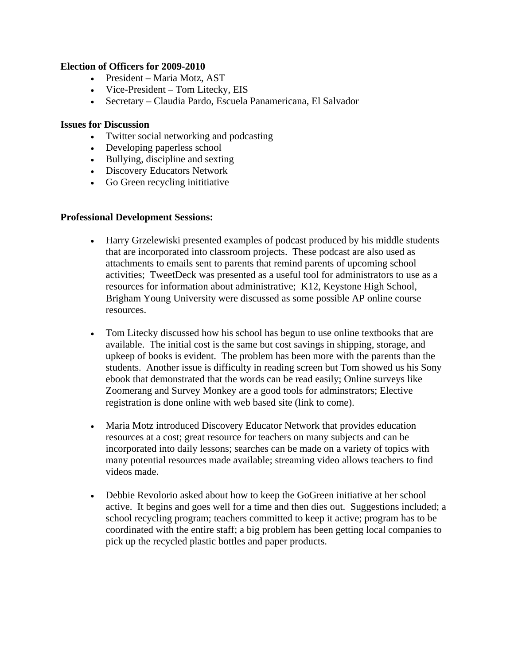# **Election of Officers for 2009-2010**

- President Maria Motz, AST
- Vice-President Tom Litecky, EIS
- Secretary Claudia Pardo, Escuela Panamericana, El Salvador

## **Issues for Discussion**

- Twitter social networking and podcasting
- Developing paperless school
- Bullying, discipline and sexting
- Discovery Educators Network
- Go Green recycling initiative

## **Professional Development Sessions:**

- Harry Grzelewiski presented examples of podcast produced by his middle students that are incorporated into classroom projects. These podcast are also used as attachments to emails sent to parents that remind parents of upcoming school activities; TweetDeck was presented as a useful tool for administrators to use as a resources for information about administrative; K12, Keystone High School, Brigham Young University were discussed as some possible AP online course resources.
- Tom Litecky discussed how his school has begun to use online textbooks that are available. The initial cost is the same but cost savings in shipping, storage, and upkeep of books is evident. The problem has been more with the parents than the students. Another issue is difficulty in reading screen but Tom showed us his Sony ebook that demonstrated that the words can be read easily; Online surveys like Zoomerang and Survey Monkey are a good tools for adminstrators; Elective registration is done online with web based site (link to come).
- Maria Motz introduced Discovery Educator Network that provides education resources at a cost; great resource for teachers on many subjects and can be incorporated into daily lessons; searches can be made on a variety of topics with many potential resources made available; streaming video allows teachers to find videos made.
- Debbie Revolorio asked about how to keep the GoGreen initiative at her school active. It begins and goes well for a time and then dies out. Suggestions included; a school recycling program; teachers committed to keep it active; program has to be coordinated with the entire staff; a big problem has been getting local companies to pick up the recycled plastic bottles and paper products.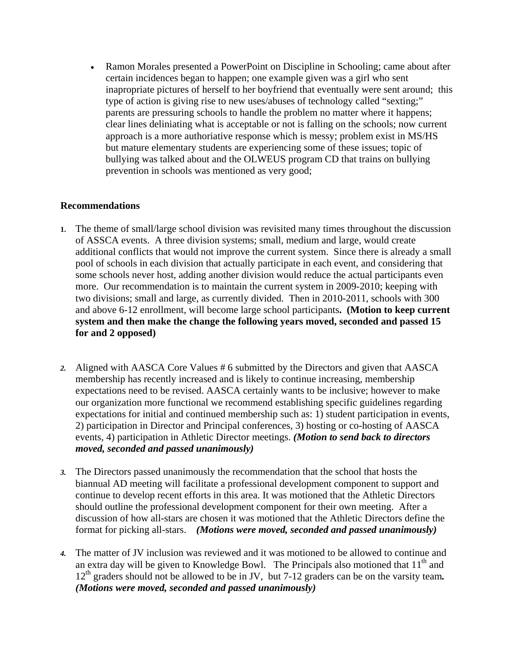• Ramon Morales presented a PowerPoint on Discipline in Schooling; came about after certain incidences began to happen; one example given was a girl who sent inapropriate pictures of herself to her boyfriend that eventually were sent around; this type of action is giving rise to new uses/abuses of technology called "sexting;" parents are pressuring schools to handle the problem no matter where it happens; clear lines deliniating what is acceptable or not is falling on the schools; now current approach is a more authoriative response which is messy; problem exist in MS/HS but mature elementary students are experiencing some of these issues; topic of bullying was talked about and the OLWEUS program CD that trains on bullying prevention in schools was mentioned as very good;

# **Recommendations**

- **1.** The theme of small/large school division was revisited many times throughout the discussion of ASSCA events. A three division systems; small, medium and large, would create additional conflicts that would not improve the current system. Since there is already a small pool of schools in each division that actually participate in each event, and considering that some schools never host, adding another division would reduce the actual participants even more. Our recommendation is to maintain the current system in 2009-2010; keeping with two divisions; small and large, as currently divided. Then in 2010-2011, schools with 300 and above 6-12 enrollment, will become large school participants**. (Motion to keep current system and then make the change the following years moved, seconded and passed 15 for and 2 opposed)**
- *2.* Aligned with AASCA Core Values # 6 submitted by the Directors and given that AASCA membership has recently increased and is likely to continue increasing, membership expectations need to be revised. AASCA certainly wants to be inclusive; however to make our organization more functional we recommend establishing specific guidelines regarding expectations for initial and continued membership such as: 1) student participation in events, 2) participation in Director and Principal conferences, 3) hosting or co-hosting of AASCA events, 4) participation in Athletic Director meetings. *(Motion to send back to directors moved, seconded and passed unanimously)*
- *3.* The Directors passed unanimously the recommendation that the school that hosts the biannual AD meeting will facilitate a professional development component to support and continue to develop recent efforts in this area. It was motioned that the Athletic Directors should outline the professional development component for their own meeting. After a discussion of how all-stars are chosen it was motioned that the Athletic Directors define the format for picking all-stars. *(Motions were moved, seconded and passed unanimously)*
- *4.* The matter of JV inclusion was reviewed and it was motioned to be allowed to continue and an extra day will be given to Knowledge Bowl. The Principals also motioned that  $11<sup>th</sup>$  and 12th graders should not be allowed to be in JV, but 7-12 graders can be on the varsity team*. (Motions were moved, seconded and passed unanimously)*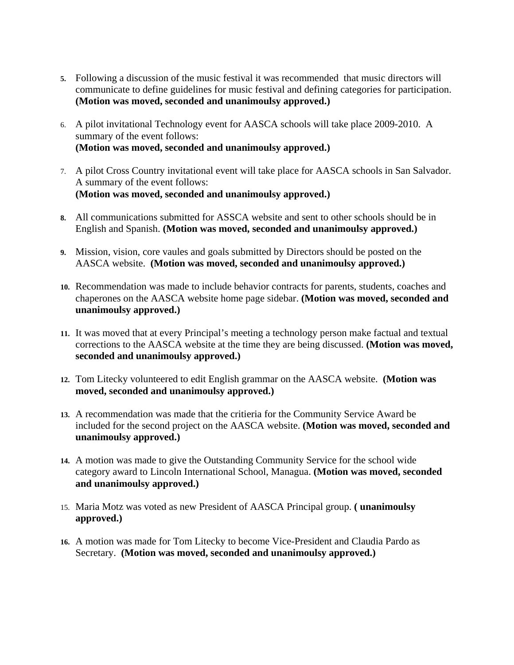- **5.** Following a discussion of the music festival it was recommended that music directors will communicate to define guidelines for music festival and defining categories for participation. **(Motion was moved, seconded and unanimoulsy approved.)**
- 6. A pilot invitational Technology event for AASCA schools will take place 2009-2010. A summary of the event follows: **(Motion was moved, seconded and unanimoulsy approved.)**
- 7. A pilot Cross Country invitational event will take place for AASCA schools in San Salvador. A summary of the event follows: **(Motion was moved, seconded and unanimoulsy approved.)**
- **8.** All communications submitted for ASSCA website and sent to other schools should be in English and Spanish. **(Motion was moved, seconded and unanimoulsy approved.)**
- **9.** Mission, vision, core vaules and goals submitted by Directors should be posted on the AASCA website. **(Motion was moved, seconded and unanimoulsy approved.)**
- **10.** Recommendation was made to include behavior contracts for parents, students, coaches and chaperones on the AASCA website home page sidebar. **(Motion was moved, seconded and unanimoulsy approved.)**
- **11.** It was moved that at every Principal's meeting a technology person make factual and textual corrections to the AASCA website at the time they are being discussed. **(Motion was moved, seconded and unanimoulsy approved.)**
- **12.** Tom Litecky volunteered to edit English grammar on the AASCA website. **(Motion was moved, seconded and unanimoulsy approved.)**
- **13.** A recommendation was made that the critieria for the Community Service Award be included for the second project on the AASCA website. **(Motion was moved, seconded and unanimoulsy approved.)**
- **14.** A motion was made to give the Outstanding Community Service for the school wide category award to Lincoln International School, Managua. **(Motion was moved, seconded and unanimoulsy approved.)**
- 15. Maria Motz was voted as new President of AASCA Principal group. **( unanimoulsy approved.)**
- **16.** A motion was made for Tom Litecky to become Vice-President and Claudia Pardo as Secretary. **(Motion was moved, seconded and unanimoulsy approved.)**